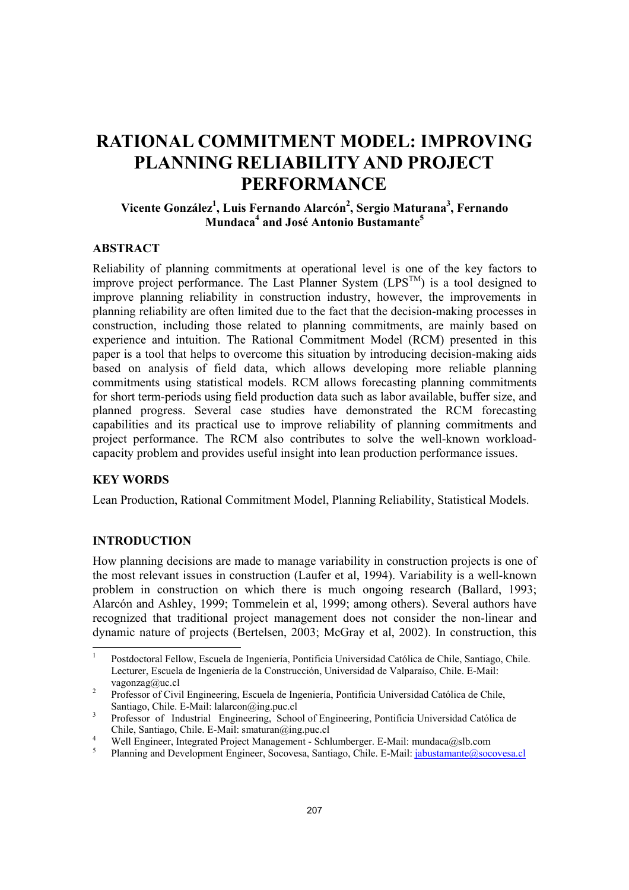# **RATIONAL COMMITMENT MODEL: IMPROVING PLANNING RELIABILITY AND PROJECT PERFORMANCE**

# **Vicente González1 , Luis Fernando Alarcón2 , Sergio Maturana3 , Fernando Mundaca4 and José Antonio Bustamante5**

## **ABSTRACT**

Reliability of planning commitments at operational level is one of the key factors to improve project performance. The Last Planner System  $(LPS^{TM})$  is a tool designed to improve planning reliability in construction industry, however, the improvements in planning reliability are often limited due to the fact that the decision-making processes in construction, including those related to planning commitments, are mainly based on experience and intuition. The Rational Commitment Model (RCM) presented in this paper is a tool that helps to overcome this situation by introducing decision-making aids based on analysis of field data, which allows developing more reliable planning commitments using statistical models. RCM allows forecasting planning commitments for short term-periods using field production data such as labor available, buffer size, and planned progress. Several case studies have demonstrated the RCM forecasting capabilities and its practical use to improve reliability of planning commitments and project performance. The RCM also contributes to solve the well-known workloadcapacity problem and provides useful insight into lean production performance issues.

# **KEY WORDS**

Lean Production, Rational Commitment Model, Planning Reliability, Statistical Models.

# **INTRODUCTION**

How planning decisions are made to manage variability in construction projects is one of the most relevant issues in construction (Laufer et al, 1994). Variability is a well-known problem in construction on which there is much ongoing research (Ballard, 1993; Alarcón and Ashley, 1999; Tommelein et al, 1999; among others). Several authors have recognized that traditional project management does not consider the non-linear and dynamic nature of projects (Bertelsen, 2003; McGray et al, 2002). In construction, this

 $\frac{1}{1}$  Postdoctoral Fellow, Escuela de Ingeniería, Pontificia Universidad Católica de Chile, Santiago, Chile. Lecturer, Escuela de Ingeniería de la Construcción, Universidad de Valparaíso, Chile. E-Mail: vagonzag@uc.cl 2 Professor of Civil Engineering, Escuela de Ingeniería, Pontificia Universidad Católica de Chile,

Santiago, Chile. E-Mail: lalarcon@ing.puc.cl 3 Professor of Industrial Engineering, School of Engineering, Pontificia Universidad Católica de

Chile, Santiago, Chile. E-Mail: smaturan@ing.puc.cl 4

Well Engineer, Integrated Project Management - Schlumberger. E-Mail: mundaca@slb.com

<sup>5</sup> Planning and Development Engineer, Socovesa, Santiago, Chile. E-Mail: jabustamante@socovesa.cl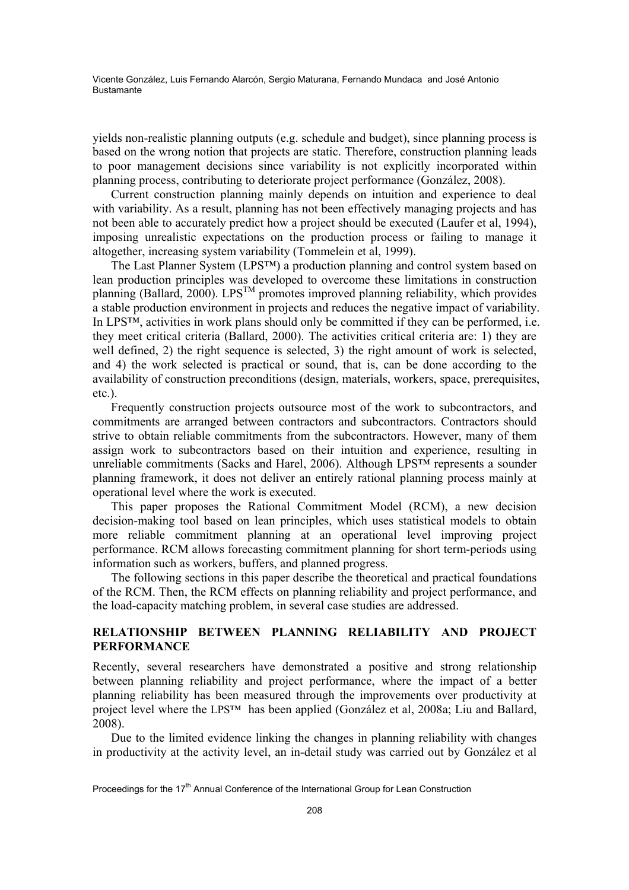yields non-realistic planning outputs (e.g. schedule and budget), since planning process is based on the wrong notion that projects are static. Therefore, construction planning leads to poor management decisions since variability is not explicitly incorporated within planning process, contributing to deteriorate project performance (González, 2008).

Current construction planning mainly depends on intuition and experience to deal with variability. As a result, planning has not been effectively managing projects and has not been able to accurately predict how a project should be executed (Laufer et al, 1994), imposing unrealistic expectations on the production process or failing to manage it altogether, increasing system variability (Tommelein et al, 1999).

The Last Planner System (LPS™) a production planning and control system based on lean production principles was developed to overcome these limitations in construction planning (Ballard, 2000). LPS<sup>TM</sup> promotes improved planning reliability, which provides a stable production environment in projects and reduces the negative impact of variability. In LPS™, activities in work plans should only be committed if they can be performed, i.e. they meet critical criteria (Ballard, 2000). The activities critical criteria are: 1) they are well defined, 2) the right sequence is selected, 3) the right amount of work is selected, and 4) the work selected is practical or sound, that is, can be done according to the availability of construction preconditions (design, materials, workers, space, prerequisites, etc.).

Frequently construction projects outsource most of the work to subcontractors, and commitments are arranged between contractors and subcontractors. Contractors should strive to obtain reliable commitments from the subcontractors. However, many of them assign work to subcontractors based on their intuition and experience, resulting in unreliable commitments (Sacks and Harel, 2006). Although LPS™ represents a sounder planning framework, it does not deliver an entirely rational planning process mainly at operational level where the work is executed.

This paper proposes the Rational Commitment Model (RCM), a new decision decision-making tool based on lean principles, which uses statistical models to obtain more reliable commitment planning at an operational level improving project performance. RCM allows forecasting commitment planning for short term-periods using information such as workers, buffers, and planned progress.

The following sections in this paper describe the theoretical and practical foundations of the RCM. Then, the RCM effects on planning reliability and project performance, and the load-capacity matching problem, in several case studies are addressed.

# **RELATIONSHIP BETWEEN PLANNING RELIABILITY AND PROJECT PERFORMANCE**

Recently, several researchers have demonstrated a positive and strong relationship between planning reliability and project performance, where the impact of a better planning reliability has been measured through the improvements over productivity at project level where the LPS™ has been applied (González et al, 2008a; Liu and Ballard, 2008).

Due to the limited evidence linking the changes in planning reliability with changes in productivity at the activity level, an in-detail study was carried out by González et al

Proceedings for the 17<sup>th</sup> Annual Conference of the International Group for Lean Construction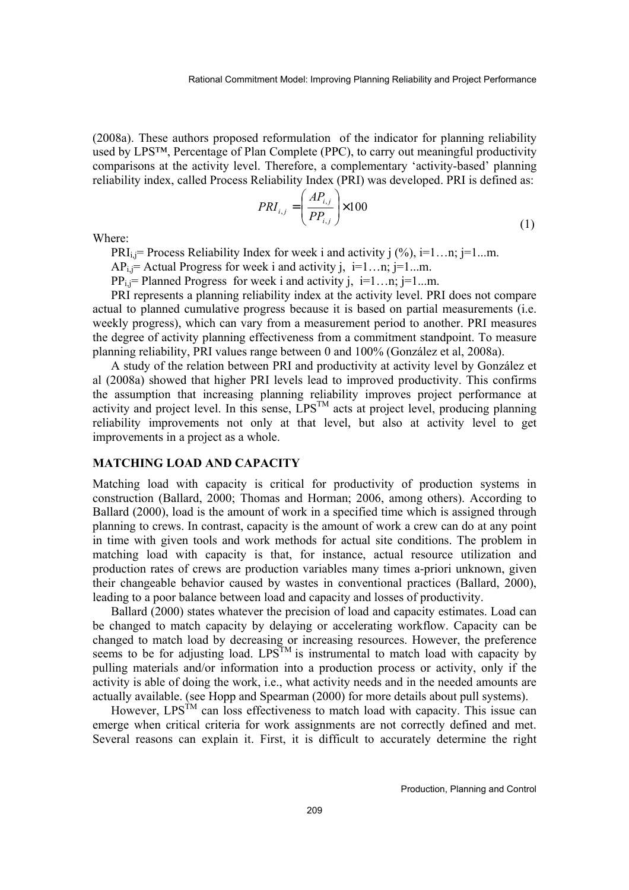(2008a). These authors proposed reformulation of the indicator for planning reliability used by LPS™, Percentage of Plan Complete (PPC), to carry out meaningful productivity comparisons at the activity level. Therefore, a complementary 'activity-based' planning reliability index, called Process Reliability Index (PRI) was developed. PRI is defined as:

$$
PRI_{i,j} = \left(\frac{AP_{i,j}}{PP_{i,j}}\right) \times 100\tag{1}
$$

Where:

PRI<sub>i</sub> $=$  Process Reliability Index for week i and activity j  $(\%)$ , i=1...n; j=1...m.

 $AP_i$ ; = Actual Progress for week i and activity j, i=1...n; j=1...m.

 $PP_i$  = Planned Progress for week i and activity j, i=1...n; j=1...m.

PRI represents a planning reliability index at the activity level. PRI does not compare actual to planned cumulative progress because it is based on partial measurements (i.e. weekly progress), which can vary from a measurement period to another. PRI measures the degree of activity planning effectiveness from a commitment standpoint. To measure planning reliability, PRI values range between 0 and 100% (González et al, 2008a).

A study of the relation between PRI and productivity at activity level by González et al (2008a) showed that higher PRI levels lead to improved productivity. This confirms the assumption that increasing planning reliability improves project performance at activity and project level. In this sense,  $LPS^{TM}$  acts at project level, producing planning reliability improvements not only at that level, but also at activity level to get improvements in a project as a whole.

## **MATCHING LOAD AND CAPACITY**

Matching load with capacity is critical for productivity of production systems in construction (Ballard, 2000; Thomas and Horman; 2006, among others). According to Ballard (2000), load is the amount of work in a specified time which is assigned through planning to crews. In contrast, capacity is the amount of work a crew can do at any point in time with given tools and work methods for actual site conditions. The problem in matching load with capacity is that, for instance, actual resource utilization and production rates of crews are production variables many times a-priori unknown, given their changeable behavior caused by wastes in conventional practices (Ballard, 2000), leading to a poor balance between load and capacity and losses of productivity.

Ballard (2000) states whatever the precision of load and capacity estimates. Load can be changed to match capacity by delaying or accelerating workflow. Capacity can be changed to match load by decreasing or increasing resources. However, the preference seems to be for adjusting load.  $LPS^{TM}$  is instrumental to match load with capacity by pulling materials and/or information into a production process or activity, only if the activity is able of doing the work, i.e., what activity needs and in the needed amounts are actually available. (see Hopp and Spearman (2000) for more details about pull systems).

However,  $LPS^{TM}$  can loss effectiveness to match load with capacity. This issue can emerge when critical criteria for work assignments are not correctly defined and met. Several reasons can explain it. First, it is difficult to accurately determine the right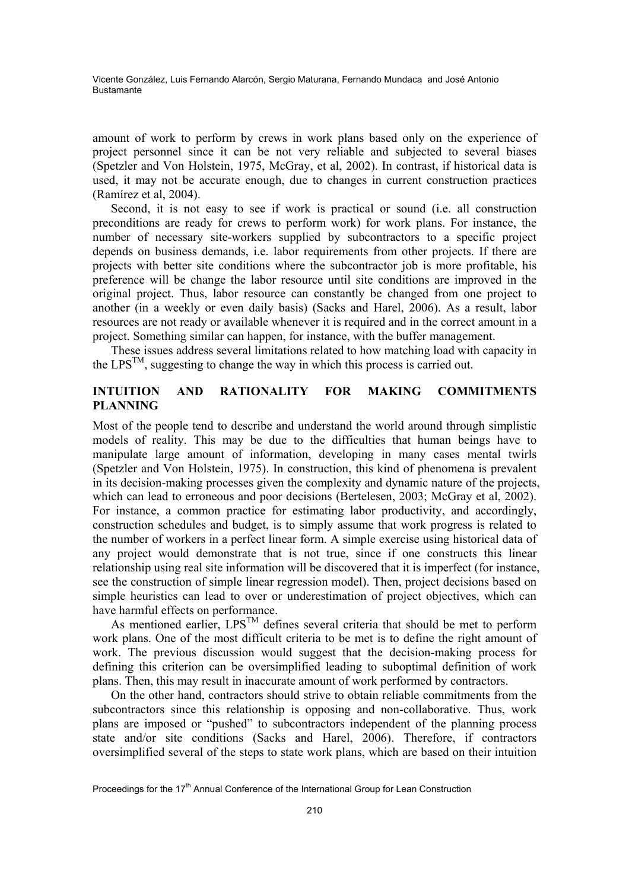amount of work to perform by crews in work plans based only on the experience of project personnel since it can be not very reliable and subjected to several biases (Spetzler and Von Holstein, 1975, McGray, et al, 2002). In contrast, if historical data is used, it may not be accurate enough, due to changes in current construction practices (Ramírez et al, 2004).

Second, it is not easy to see if work is practical or sound (i.e. all construction preconditions are ready for crews to perform work) for work plans. For instance, the number of necessary site-workers supplied by subcontractors to a specific project depends on business demands, i.e. labor requirements from other projects. If there are projects with better site conditions where the subcontractor job is more profitable, his preference will be change the labor resource until site conditions are improved in the original project. Thus, labor resource can constantly be changed from one project to another (in a weekly or even daily basis) (Sacks and Harel, 2006). As a result, labor resources are not ready or available whenever it is required and in the correct amount in a project. Something similar can happen, for instance, with the buffer management.

These issues address several limitations related to how matching load with capacity in the  $LPS^{TM}$ , suggesting to change the way in which this process is carried out.

# **INTUITION AND RATIONALITY FOR MAKING COMMITMENTS PLANNING**

Most of the people tend to describe and understand the world around through simplistic models of reality. This may be due to the difficulties that human beings have to manipulate large amount of information, developing in many cases mental twirls (Spetzler and Von Holstein, 1975). In construction, this kind of phenomena is prevalent in its decision-making processes given the complexity and dynamic nature of the projects, which can lead to erroneous and poor decisions (Bertelesen, 2003; McGray et al, 2002). For instance, a common practice for estimating labor productivity, and accordingly, construction schedules and budget, is to simply assume that work progress is related to the number of workers in a perfect linear form. A simple exercise using historical data of any project would demonstrate that is not true, since if one constructs this linear relationship using real site information will be discovered that it is imperfect (for instance, see the construction of simple linear regression model). Then, project decisions based on simple heuristics can lead to over or underestimation of project objectives, which can have harmful effects on performance.

As mentioned earlier,  $LPS^{TM}$  defines several criteria that should be met to perform work plans. One of the most difficult criteria to be met is to define the right amount of work. The previous discussion would suggest that the decision-making process for defining this criterion can be oversimplified leading to suboptimal definition of work plans. Then, this may result in inaccurate amount of work performed by contractors.

On the other hand, contractors should strive to obtain reliable commitments from the subcontractors since this relationship is opposing and non-collaborative. Thus, work plans are imposed or "pushed" to subcontractors independent of the planning process state and/or site conditions (Sacks and Harel, 2006). Therefore, if contractors oversimplified several of the steps to state work plans, which are based on their intuition

Proceedings for the 17<sup>th</sup> Annual Conference of the International Group for Lean Construction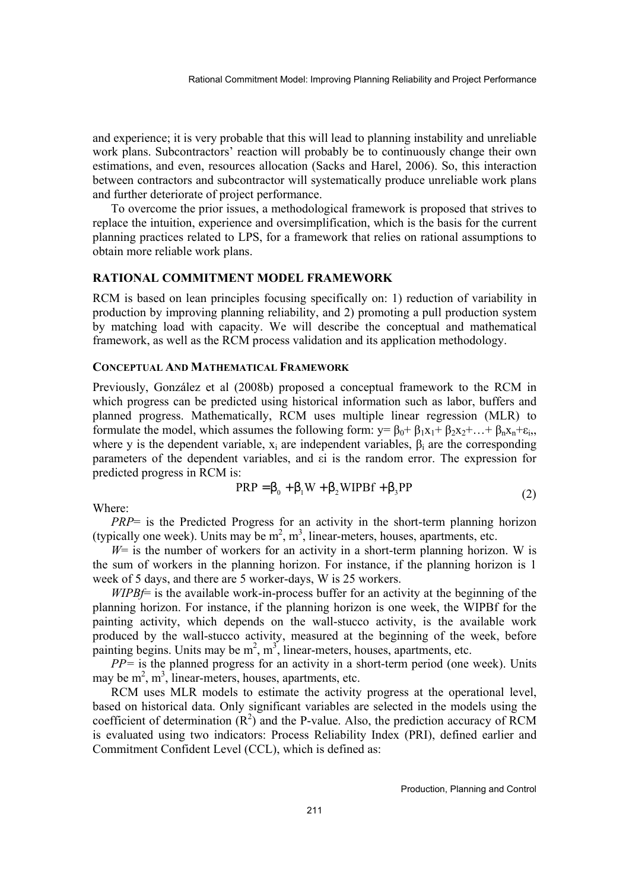and experience; it is very probable that this will lead to planning instability and unreliable work plans. Subcontractors' reaction will probably be to continuously change their own estimations, and even, resources allocation (Sacks and Harel, 2006). So, this interaction between contractors and subcontractor will systematically produce unreliable work plans and further deteriorate of project performance.

To overcome the prior issues, a methodological framework is proposed that strives to replace the intuition, experience and oversimplification, which is the basis for the current planning practices related to LPS, for a framework that relies on rational assumptions to obtain more reliable work plans.

### **RATIONAL COMMITMENT MODEL FRAMEWORK**

RCM is based on lean principles focusing specifically on: 1) reduction of variability in production by improving planning reliability, and 2) promoting a pull production system by matching load with capacity. We will describe the conceptual and mathematical framework, as well as the RCM process validation and its application methodology.

#### **CONCEPTUAL AND MATHEMATICAL FRAMEWORK**

Previously, González et al (2008b) proposed a conceptual framework to the RCM in which progress can be predicted using historical information such as labor, buffers and planned progress. Mathematically, RCM uses multiple linear regression (MLR) to formulate the model, which assumes the following form:  $y = \beta_0 + \beta_1 x_1 + \beta_2 x_2 + ... + \beta_n x_n + \varepsilon_i$ , where v is the dependent variable,  $x_i$  are independent variables,  $\beta_i$  are the corresponding parameters of the dependent variables, and εi is the random error. The expression for predicted progress in RCM is:

$$
PRP = \beta_0 + \beta_1 W + \beta_2 WIPBf + \beta_3 PP
$$
\n(2)

Where:

*PRP*= is the Predicted Progress for an activity in the short-term planning horizon (typically one week). Units may be  $m^2$ ,  $m^3$ , linear-meters, houses, apartments, etc.

 $W =$  is the number of workers for an activity in a short-term planning horizon. W is the sum of workers in the planning horizon. For instance, if the planning horizon is 1 week of 5 days, and there are 5 worker-days, W is 25 workers.

*WIPBf*= is the available work-in-process buffer for an activity at the beginning of the planning horizon. For instance, if the planning horizon is one week, the WIPBf for the painting activity, which depends on the wall-stucco activity, is the available work produced by the wall-stucco activity, measured at the beginning of the week, before painting begins. Units may be  $m^2$ ,  $m^3$ , linear-meters, houses, apartments, etc.

*PP=* is the planned progress for an activity in a short-term period (one week). Units may be  $m^2$ ,  $m^3$ , linear-meters, houses, apartments, etc.

RCM uses MLR models to estimate the activity progress at the operational level, based on historical data. Only significant variables are selected in the models using the coefficient of determination  $(R^2)$  and the P-value. Also, the prediction accuracy of RCM is evaluated using two indicators: Process Reliability Index (PRI), defined earlier and Commitment Confident Level (CCL), which is defined as: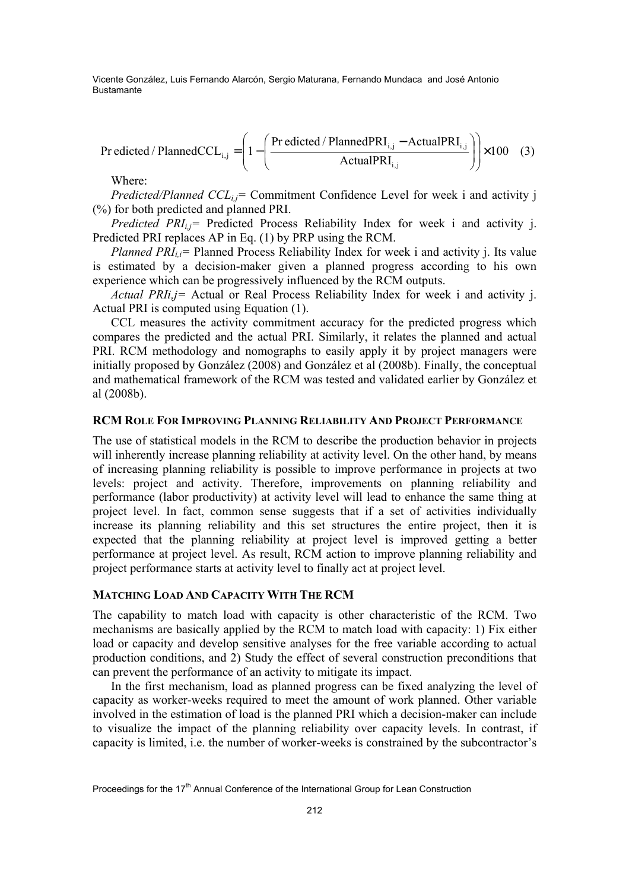$$
Predicted / Planned CCL_{i,j} = \left(1 - \left(\frac{Predicted / Planned PRL_{i,j} - Actual PRL_{i,j}}{Actual PRL_{i,j}}\right)\right) \times 100 \quad (3)
$$

Where:

*Predicted/Planned CCL<sub>ij</sub>=* Commitment Confidence Level for week i and activity j (%) for both predicted and planned PRI.

*Predicted PRI<sub>ij</sub>*= Predicted Process Reliability Index for week i and activity j. Predicted PRI replaces AP in Eq. (1) by PRP using the RCM.

*Planned PRI<sub>ij</sub>*= Planned Process Reliability Index for week i and activity j. Its value is estimated by a decision-maker given a planned progress according to his own experience which can be progressively influenced by the RCM outputs.

*Actual PRIi,j=* Actual or Real Process Reliability Index for week i and activity j. Actual PRI is computed using Equation (1).

CCL measures the activity commitment accuracy for the predicted progress which compares the predicted and the actual PRI. Similarly, it relates the planned and actual PRI. RCM methodology and nomographs to easily apply it by project managers were initially proposed by González (2008) and González et al (2008b). Finally, the conceptual and mathematical framework of the RCM was tested and validated earlier by González et al (2008b).

#### **RCM ROLE FOR IMPROVING PLANNING RELIABILITY AND PROJECT PERFORMANCE**

The use of statistical models in the RCM to describe the production behavior in projects will inherently increase planning reliability at activity level. On the other hand, by means of increasing planning reliability is possible to improve performance in projects at two levels: project and activity. Therefore, improvements on planning reliability and performance (labor productivity) at activity level will lead to enhance the same thing at project level. In fact, common sense suggests that if a set of activities individually increase its planning reliability and this set structures the entire project, then it is expected that the planning reliability at project level is improved getting a better performance at project level. As result, RCM action to improve planning reliability and project performance starts at activity level to finally act at project level.

## **MATCHING LOAD AND CAPACITY WITH THE RCM**

The capability to match load with capacity is other characteristic of the RCM. Two mechanisms are basically applied by the RCM to match load with capacity: 1) Fix either load or capacity and develop sensitive analyses for the free variable according to actual production conditions, and 2) Study the effect of several construction preconditions that can prevent the performance of an activity to mitigate its impact.

In the first mechanism, load as planned progress can be fixed analyzing the level of capacity as worker-weeks required to meet the amount of work planned. Other variable involved in the estimation of load is the planned PRI which a decision-maker can include to visualize the impact of the planning reliability over capacity levels. In contrast, if capacity is limited, i.e. the number of worker-weeks is constrained by the subcontractor's

Proceedings for the 17<sup>th</sup> Annual Conference of the International Group for Lean Construction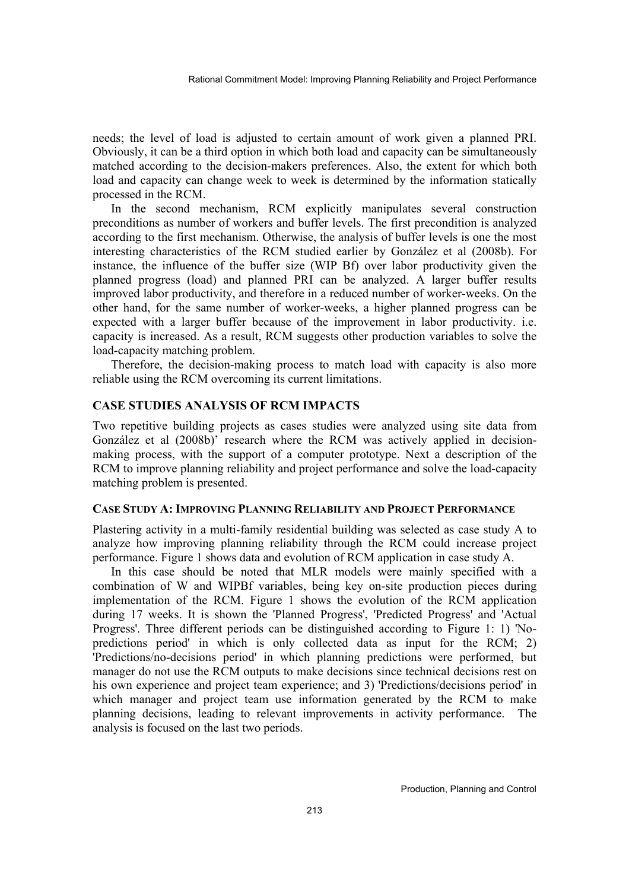needs; the level of load is adjusted to certain amount of work given a planned PRI. Obviously, it can be a third option in which both load and capacity can be simultaneously matched according to the decision-makers preferences. Also, the extent for which both load and capacity can change week to week is determined by the information statically processed in the RCM.

In the second mechanism, RCM explicitly manipulates several construction preconditions as number of workers and buffer levels. The first precondition is analyzed according to the first mechanism. Otherwise, the analysis of buffer levels is one the most interesting characteristics of the RCM studied earlier by González et al (2008b). For instance, the influence of the buffer size (WIP Bf) over labor productivity given the planned progress (load) and planned PRI can be analyzed. A larger buffer results improved labor productivity, and therefore in a reduced number of worker-weeks. On the other hand, for the same number of worker-weeks, a higher planned progress can be expected with a larger buffer because of the improvement in labor productivity. i.e. capacity is increased. As a result, RCM suggests other production variables to solve the load-capacity matching problem.

Therefore, the decision-making process to match load with capacity is also more reliable using the RCM overcoming its current limitations.

## **CASE STUDIES ANALYSIS OF RCM IMPACTS**

Two repetitive building projects as cases studies were analyzed using site data from González et al (2008b)' research where the RCM was actively applied in decisionmaking process, with the support of a computer prototype. Next a description of the RCM to improve planning reliability and project performance and solve the load-capacity matching problem is presented.

#### **CASE STUDY A: IMPROVING PLANNING RELIABILITY AND PROJECT PERFORMANCE**

Plastering activity in a multi-family residential building was selected as case study A to analyze how improving planning reliability through the RCM could increase project performance. Figure 1 shows data and evolution of RCM application in case study A.

In this case should be noted that MLR models were mainly specified with a combination of W and WIPBf variables, being key on-site production pieces during implementation of the RCM. Figure 1 shows the evolution of the RCM application during 17 weeks. It is shown the 'Planned Progress', 'Predicted Progress' and 'Actual Progress'. Three different periods can be distinguished according to Figure 1: 1) 'Nopredictions period' in which is only collected data as input for the RCM; 2) 'Predictions/no-decisions period' in which planning predictions were performed, but manager do not use the RCM outputs to make decisions since technical decisions rest on his own experience and project team experience; and 3) 'Predictions/decisions period' in which manager and project team use information generated by the RCM to make planning decisions, leading to relevant improvements in activity performance. The analysis is focused on the last two periods.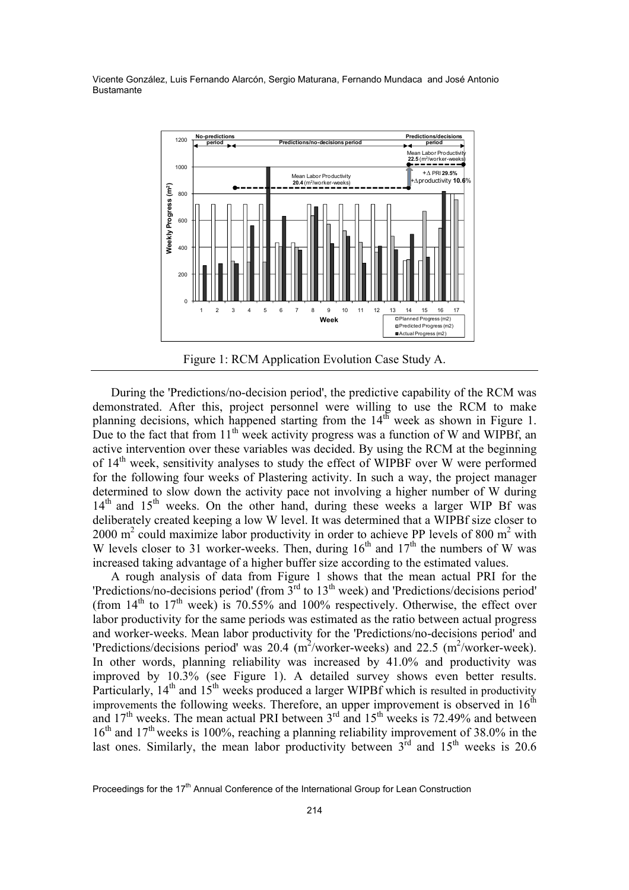

Figure 1: RCM Application Evolution Case Study A.

During the 'Predictions/no-decision period', the predictive capability of the RCM was demonstrated. After this, project personnel were willing to use the RCM to make planning decisions, which happened starting from the  $14<sup>th</sup>$  week as shown in Figure 1. Due to the fact that from  $11<sup>th</sup>$  week activity progress was a function of W and WIPBf, an active intervention over these variables was decided. By using the RCM at the beginning of 14<sup>th</sup> week, sensitivity analyses to study the effect of WIPBF over W were performed for the following four weeks of Plastering activity. In such a way, the project manager determined to slow down the activity pace not involving a higher number of W during  $14<sup>th</sup>$  and  $15<sup>th</sup>$  weeks. On the other hand, during these weeks a larger WIP Bf was deliberately created keeping a low W level. It was determined that a WIPBf size closer to 2000  $m^2$  could maximize labor productivity in order to achieve PP levels of 800  $m^2$  with W levels closer to 31 worker-weeks. Then, during  $16<sup>th</sup>$  and  $17<sup>th</sup>$  the numbers of W was increased taking advantage of a higher buffer size according to the estimated values.

A rough analysis of data from Figure 1 shows that the mean actual PRI for the 'Predictions/no-decisions period' (from 3rd to 13th week) and 'Predictions/decisions period' (from  $14<sup>th</sup>$  to  $17<sup>th</sup>$  week) is 70.55% and 100% respectively. Otherwise, the effect over labor productivity for the same periods was estimated as the ratio between actual progress and worker-weeks. Mean labor productivity for the 'Predictions/no-decisions period' and 'Predictions/decisions period' was 20.4  $(m^2/worker-week)$  and 22.5  $(m^2/worker-week)$ . In other words, planning reliability was increased by 41.0% and productivity was improved by 10.3% (see Figure 1). A detailed survey shows even better results. Particularly,  $14<sup>th</sup>$  and  $15<sup>th</sup>$  weeks produced a larger WIPBf which is resulted in productivity improvements the following weeks. Therefore, an upper improvement is observed in  $16<sup>th</sup>$ and  $17<sup>th</sup>$  weeks. The mean actual PRI between  $3<sup>rd</sup>$  and  $15<sup>th</sup>$  weeks is 72.49% and between  $16<sup>th</sup>$  and  $17<sup>th</sup>$  weeks is 100%, reaching a planning reliability improvement of 38.0% in the last ones. Similarly, the mean labor productivity between  $3<sup>rd</sup>$  and  $15<sup>th</sup>$  weeks is 20.6

Proceedings for the 17<sup>th</sup> Annual Conference of the International Group for Lean Construction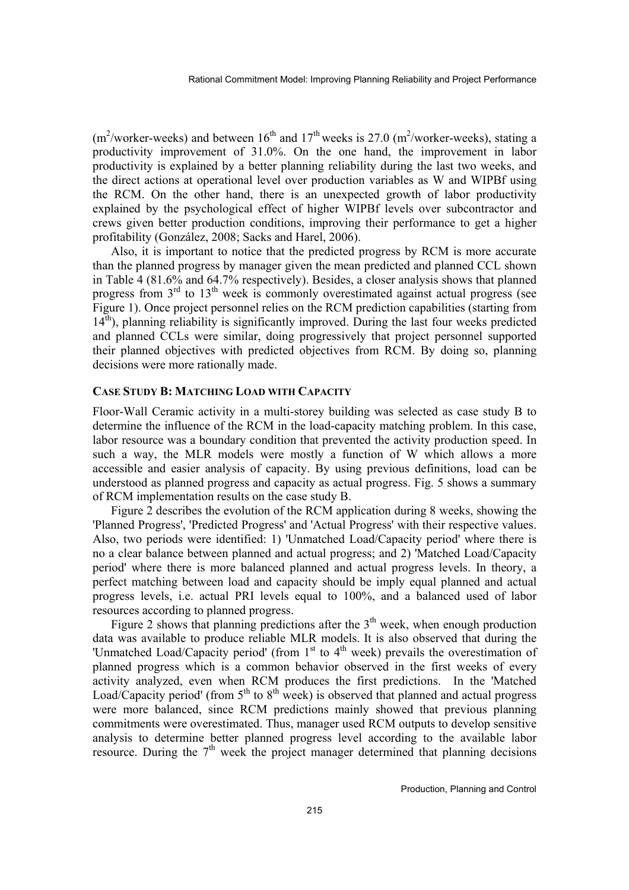$(m^2/worker-weeks)$  and between  $16<sup>th</sup>$  and  $17<sup>th</sup>$  weeks is 27.0 (m<sup>2</sup>/worker-weeks), stating a productivity improvement of 31.0%. On the one hand, the improvement in labor productivity is explained by a better planning reliability during the last two weeks, and the direct actions at operational level over production variables as W and WIPBf using the RCM. On the other hand, there is an unexpected growth of labor productivity explained by the psychological effect of higher WIPBf levels over subcontractor and crews given better production conditions, improving their performance to get a higher profitability (González, 2008; Sacks and Harel, 2006).

Also, it is important to notice that the predicted progress by RCM is more accurate than the planned progress by manager given the mean predicted and planned CCL shown in Table 4 (81.6% and 64.7% respectively). Besides, a closer analysis shows that planned progress from  $3<sup>rd</sup>$  to  $13<sup>th</sup>$  week is commonly overestimated against actual progress (see Figure 1). Once project personnel relies on the RCM prediction capabilities (starting from  $14<sup>th</sup>$ ), planning reliability is significantly improved. During the last four weeks predicted and planned CCLs were similar, doing progressively that project personnel supported their planned objectives with predicted objectives from RCM. By doing so, planning decisions were more rationally made.

#### **CASE STUDY B: MATCHING LOAD WITH CAPACITY**

Floor-Wall Ceramic activity in a multi-storey building was selected as case study B to determine the influence of the RCM in the load-capacity matching problem. In this case, labor resource was a boundary condition that prevented the activity production speed. In such a way, the MLR models were mostly a function of W which allows a more accessible and easier analysis of capacity. By using previous definitions, load can be understood as planned progress and capacity as actual progress. Fig. 5 shows a summary of RCM implementation results on the case study B.

Figure 2 describes the evolution of the RCM application during 8 weeks, showing the 'Planned Progress', 'Predicted Progress' and 'Actual Progress' with their respective values. Also, two periods were identified: 1) 'Unmatched Load/Capacity period' where there is no a clear balance between planned and actual progress; and 2) 'Matched Load/Capacity period' where there is more balanced planned and actual progress levels. In theory, a perfect matching between load and capacity should be imply equal planned and actual progress levels, i.e. actual PRI levels equal to 100%, and a balanced used of labor resources according to planned progress.

Figure 2 shows that planning predictions after the  $3<sup>th</sup>$  week, when enough production data was available to produce reliable MLR models. It is also observed that during the Unmatched Load/Capacity period' (from 1<sup>st</sup> to 4<sup>th</sup> week) prevails the overestimation of planned progress which is a common behavior observed in the first weeks of every activity analyzed, even when RCM produces the first predictions. In the 'Matched Load/Capacity period' (from  $5<sup>th</sup>$  to  $8<sup>th</sup>$  week) is observed that planned and actual progress were more balanced, since RCM predictions mainly showed that previous planning commitments were overestimated. Thus, manager used RCM outputs to develop sensitive analysis to determine better planned progress level according to the available labor resource. During the  $7<sup>th</sup>$  week the project manager determined that planning decisions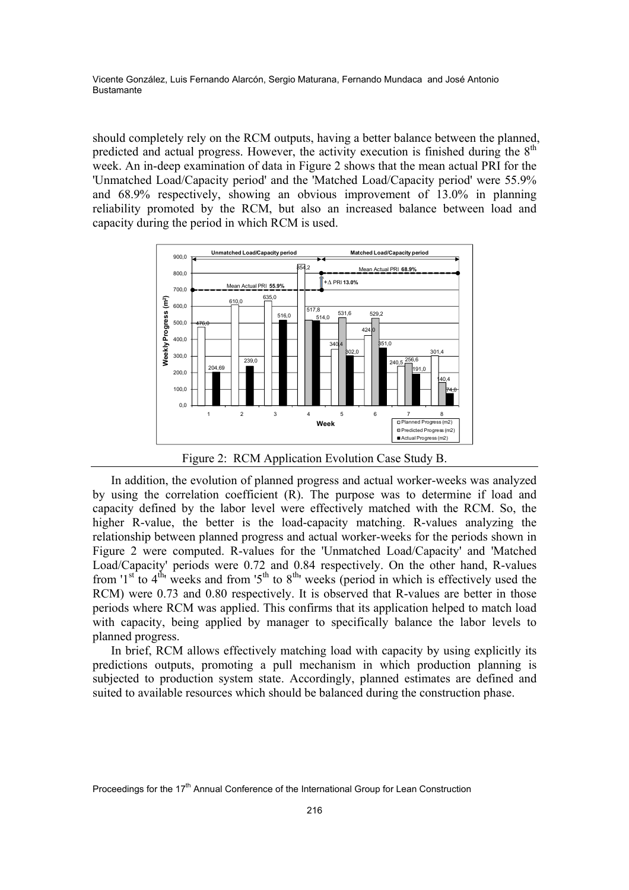should completely rely on the RCM outputs, having a better balance between the planned, predicted and actual progress. However, the activity execution is finished during the  $8<sup>th</sup>$ week. An in-deep examination of data in Figure 2 shows that the mean actual PRI for the 'Unmatched Load/Capacity period' and the 'Matched Load/Capacity period' were 55.9% and 68.9% respectively, showing an obvious improvement of 13.0% in planning reliability promoted by the RCM, but also an increased balance between load and capacity during the period in which RCM is used.



Figure 2: RCM Application Evolution Case Study B.

In addition, the evolution of planned progress and actual worker-weeks was analyzed by using the correlation coefficient (R). The purpose was to determine if load and capacity defined by the labor level were effectively matched with the RCM. So, the higher R-value, the better is the load-capacity matching. R-values analyzing the relationship between planned progress and actual worker-weeks for the periods shown in Figure 2 were computed. R-values for the 'Unmatched Load/Capacity' and 'Matched Load/Capacity' periods were 0.72 and 0.84 respectively. On the other hand, R-values from '1<sup>st</sup> to 4<sup>th</sup>' weeks and from '5<sup>th</sup> to 8<sup>th</sup>' weeks (period in which is effectively used the RCM) were 0.73 and 0.80 respectively. It is observed that R-values are better in those periods where RCM was applied. This confirms that its application helped to match load with capacity, being applied by manager to specifically balance the labor levels to planned progress.

In brief, RCM allows effectively matching load with capacity by using explicitly its predictions outputs, promoting a pull mechanism in which production planning is subjected to production system state. Accordingly, planned estimates are defined and suited to available resources which should be balanced during the construction phase.

Proceedings for the 17<sup>th</sup> Annual Conference of the International Group for Lean Construction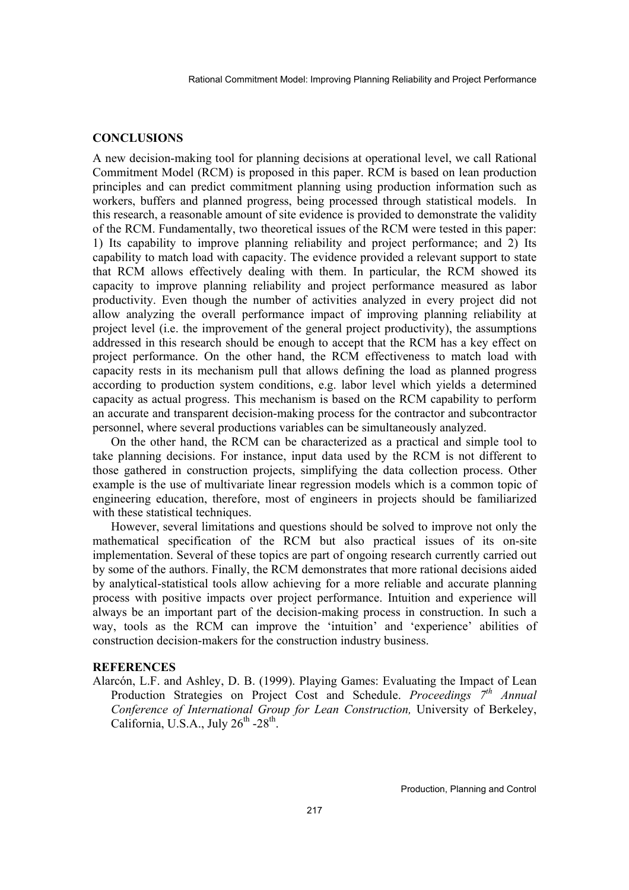## **CONCLUSIONS**

A new decision-making tool for planning decisions at operational level, we call Rational Commitment Model (RCM) is proposed in this paper. RCM is based on lean production principles and can predict commitment planning using production information such as workers, buffers and planned progress, being processed through statistical models. In this research, a reasonable amount of site evidence is provided to demonstrate the validity of the RCM. Fundamentally, two theoretical issues of the RCM were tested in this paper: 1) Its capability to improve planning reliability and project performance; and 2) Its capability to match load with capacity. The evidence provided a relevant support to state that RCM allows effectively dealing with them. In particular, the RCM showed its capacity to improve planning reliability and project performance measured as labor productivity. Even though the number of activities analyzed in every project did not allow analyzing the overall performance impact of improving planning reliability at project level (i.e. the improvement of the general project productivity), the assumptions addressed in this research should be enough to accept that the RCM has a key effect on project performance. On the other hand, the RCM effectiveness to match load with capacity rests in its mechanism pull that allows defining the load as planned progress according to production system conditions, e.g. labor level which yields a determined capacity as actual progress. This mechanism is based on the RCM capability to perform an accurate and transparent decision-making process for the contractor and subcontractor personnel, where several productions variables can be simultaneously analyzed.

On the other hand, the RCM can be characterized as a practical and simple tool to take planning decisions. For instance, input data used by the RCM is not different to those gathered in construction projects, simplifying the data collection process. Other example is the use of multivariate linear regression models which is a common topic of engineering education, therefore, most of engineers in projects should be familiarized with these statistical techniques.

However, several limitations and questions should be solved to improve not only the mathematical specification of the RCM but also practical issues of its on-site implementation. Several of these topics are part of ongoing research currently carried out by some of the authors. Finally, the RCM demonstrates that more rational decisions aided by analytical-statistical tools allow achieving for a more reliable and accurate planning process with positive impacts over project performance. Intuition and experience will always be an important part of the decision-making process in construction. In such a way, tools as the RCM can improve the 'intuition' and 'experience' abilities of construction decision-makers for the construction industry business.

#### **REFERENCES**

Alarcón, L.F. and Ashley, D. B. (1999). Playing Games: Evaluating the Impact of Lean Production Strategies on Project Cost and Schedule. *Proceedings 7th Annual Conference of International Group for Lean Construction,* University of Berkeley, California, U.S.A., July  $26^{th}$  - $28^{th}$ .